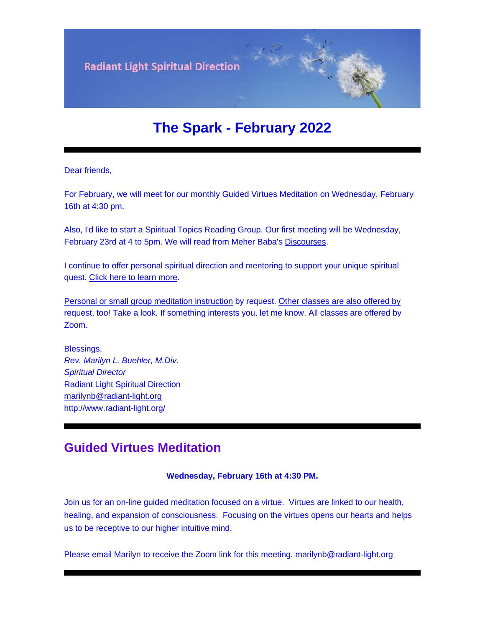**Radiant Light Spiritual Direction** 

# **The Spark - February 2022**

Dear friends,

For February, we will meet for our monthly Guided Virtues Meditation on Wednesday, February 16th at 4:30 pm.

Also, I'd like to start a Spiritual Topics Reading Group. Our first meeting will be Wednesday, February 23rd at 4 to 5pm. We will read from Meher Baba's [Discourses.](https://u18544456.ct.sendgrid.net/ls/click?upn=YO6TcuTs2Xz6NlJVKcEQZpLBj4UQ3ZwqDD8gCKXtQ0q3Y9igLblMKeBGWSPNdzevo5C3lIvUrkzFU-2B6kDrQKAbJHzR7J3UgMdg4cozOhfEHBtZ9J-2BnX1tJhFKuEA-2BFbyFLY0mrW-2BqAJT6tyxRAOGY6e8fZgiWnf86Ab841nOwIs-3DpIn5_FiQrYGg1YZElR924caalGEP3AHGeF79ulf5jxC9Fbcd8IfoR4p2-2FW0xZvJaX6Y3z75H0Yw3uGmHJTH3azVPJ5HTXrZ-2Ft5OVM5Vv31JFvUf3sl-2Bt2VvZL3mo9-2FDK3jGCp6PbApHwS-2FRpaDkd0w-2B-2BXtjWwXlxeF1Kh5UytJP9aru2REjOENIet8i786nuYjdsYx1r17WoNN438x7UzRaHSA-2FplCwNhlGjyIbKkF4SJa-2BfCYV-2BkYGLkRZSzPLZRezG-2F7PgqeJgw0p7xFqrXxhRI3RYni6Bh-2FdSYfN-2Fc-2BO9bSo0O8T00hysBVDIDJO-2BBl2dZpGHzeEeoG9o5-2BFZF-2FeVDvWyClLNzqIs6WB6H-2BxtxFM0Oqsoq3E2r6H-2BvLev9w9CfWLc6FExNFYNoUxctrkB5oYa2gV0CVmpcawLBDtQXr2lgprC1LD5r3EDS7JSvRlYAGst3NzfSKvIWZWLB5xr6Bas-2BQLGzq0-2FpubiFqvaSRXY3W0MHGnRWxtPievYO4QRViKPuhRfU-2Bj36h7MGaszJecXARHY6f-2B3nOB1UEEqUJXboArwHHDgANCMV9bT5Mm6JFhDcgzCmJ3KNC3XBq7a2-2FVqwGfeQoVpSR-2BZtOYRFI6O3eb0BkaTktxk3STg-2FniMhvJCT3ZgdAxtOJFuHVKoHMLGgiDKOdRc5rgPXVDCjzRK7GXrNFZszNYkUcelcDH6kBtFt3f4Usyg0dE-2Bt6J-2Fr-2BS-2FNFvtzQch34XTnHRX39rKx6BG4Vfbj3nK4-2BU2U24D1scB8YvKcG8EWSEJo7mwbQdVrvdHjBELJEcovFNkOCc2WMnth0Gx1zBnGlxlUqsCxRwPrMYL-2BJsiOS58EZEbz-2Fs0VCeNtp95RC6eP9L-2BHfqY-3D)

I continue to offer personal spiritual direction and mentoring to support your unique spiritual quest. [Click here to learn more.](https://u18544456.ct.sendgrid.net/ls/click?upn=YO6TcuTs2Xz6NlJVKcEQZiklIDFGo-2FRGaP7ZnccBbQARgepgBehisljIdHaxu5bw3Tzxlji9z6lwkzLEwzWXaQ-3D-3Dm_Ap_FiQrYGg1YZElR924caalGEP3AHGeF79ulf5jxC9Fbcd8IfoR4p2-2FW0xZvJaX6Y3z75H0Yw3uGmHJTH3azVPJ5HTXrZ-2Ft5OVM5Vv31JFvUf3sl-2Bt2VvZL3mo9-2FDK3jGCp6PbApHwS-2FRpaDkd0w-2B-2BXtjWwXlxeF1Kh5UytJP9aru2REjOENIet8i786nuYjdsYx1r17WoNN438x7UzRaHSA-2FplCwNhlGjyIbKkF4SJa-2BfCYV-2BkYGLkRZSzPLZRezG-2F7PgqeJgw0p7xFqrXxhRI3RYni6Bh-2FdSYfN-2Fc-2BO9bSo0O8T00hysBVDIDJO-2BBl2dZpGHzeEeoG9o5-2BFZF-2FeVDvWyClLNzqIs6WB6H-2BxtxFM0Oqsoq3E2r6H-2BvLev9w9CfWLc6FExNFYNoUxctrkB5oYa2gV0CVmpcawLBDtQXr2lgprC1LD5r3EDS7JSvRlYAGst3NzfSKvIWZWLB5xr6Bas-2BQLGzq0-2FpubiFqvaSRXY3W0MHGnRWxtPievYO4QRViKPuhRfU-2Bj36h7MGaszJecXARHY6f-2B3nOB1UEEqUJXboArwHHDgANCMV9bT5Mm6JFhDcgzCmJ3KNC3XBq7a2-2FVqwGfeQoVpSR-2BZtOYRFI6O3eb0BkaTktxk3STg-2FniMhvJCT3ZgdAxtOJFuHVKoHMLGgiDKOdRc5rgPXVDCjzRK7GXrNFZszNYkUcelcDH6kBtFt3f4Usyg0dE-2Bt6J-2Fr-2BZ712z6uL9g2yoaUQOZSy9niBfe0Endb8sNVmE9t8M88eWVaZUgx-2FEOPjoOaKlb0DkbIEEdWK2NNvlM8KM7eH-2Bkf66gzzumvc2s-2F-2FelOfqPWbk05NaiIJAMkXsnrS4lKwVFokNQWfqQH6GNc-2B6okeFM-3D)

[Personal or small group meditation instruction](https://u18544456.ct.sendgrid.net/ls/click?upn=YO6TcuTs2Xz6NlJVKcEQZiklIDFGo-2FRGaP7ZnccBbQCHI3OCy1-2FTljnUIZxiRg8HLM4DYB-2FN-2Fq3kXlEC-2F4u5oV164lbmXOFL895hqZhKLR0-3Dz771_FiQrYGg1YZElR924caalGEP3AHGeF79ulf5jxC9Fbcd8IfoR4p2-2FW0xZvJaX6Y3z75H0Yw3uGmHJTH3azVPJ5HTXrZ-2Ft5OVM5Vv31JFvUf3sl-2Bt2VvZL3mo9-2FDK3jGCp6PbApHwS-2FRpaDkd0w-2B-2BXtjWwXlxeF1Kh5UytJP9aru2REjOENIet8i786nuYjdsYx1r17WoNN438x7UzRaHSA-2FplCwNhlGjyIbKkF4SJa-2BfCYV-2BkYGLkRZSzPLZRezG-2F7PgqeJgw0p7xFqrXxhRI3RYni6Bh-2FdSYfN-2Fc-2BO9bSo0O8T00hysBVDIDJO-2BBl2dZpGHzeEeoG9o5-2BFZF-2FeVDvWyClLNzqIs6WB6H-2BxtxFM0Oqsoq3E2r6H-2BvLev9w9CfWLc6FExNFYNoUxctrkB5oYa2gV0CVmpcawLBDtQXr2lgprC1LD5r3EDS7JSvRlYAGst3NzfSKvIWZWLB5xr6Bas-2BQLGzq0-2FpubiFqvaSRXY3W0MHGnRWxtPievYO4QRViKPuhRfU-2Bj36h7MGaszJecXARHY6f-2B3nOB1UEEqUJXboArwHHDgANCMV9bT5Mm6JFhDcgzCmJ3KNC3XBq7a2-2FVqwGfeQoVpSR-2BZtOYRFI6O3eb0BkaTktxk3STg-2FniMhvJCT3ZgdAxtOJFuHVKoHMLGgiDKOdRc5rgPXVDCjzRK7GXrNFZszNYkUcelcDH6kBtFt3f4Usyg0dE-2Bt6J-2Fr-2BemzyHlizTft3dPEZQfkV1G7dYisITl1q-2FYFd-2BKVHJWaG0F-2FsRu87uDwv2RGR9BmC90zIGOncaElZYgiZA3c4zTpo14RajEQqiakS74IIjTmR2EZ7IPxHw2wgGtT1SrH5pNg5p1qY1u7WA24nHtG-2Ffw-3D) by request. [Other classes are also offered by](https://u18544456.ct.sendgrid.net/ls/click?upn=YO6TcuTs2Xz6NlJVKcEQZiklIDFGo-2FRGaP7ZnccBbQDLOGMDhN2L94NJMu04rPoUYmgQ_FiQrYGg1YZElR924caalGEP3AHGeF79ulf5jxC9Fbcd8IfoR4p2-2FW0xZvJaX6Y3z75H0Yw3uGmHJTH3azVPJ5HTXrZ-2Ft5OVM5Vv31JFvUf3sl-2Bt2VvZL3mo9-2FDK3jGCp6PbApHwS-2FRpaDkd0w-2B-2BXtjWwXlxeF1Kh5UytJP9aru2REjOENIet8i786nuYjdsYx1r17WoNN438x7UzRaHSA-2FplCwNhlGjyIbKkF4SJa-2BfCYV-2BkYGLkRZSzPLZRezG-2F7PgqeJgw0p7xFqrXxhRI3RYni6Bh-2FdSYfN-2Fc-2BO9bSo0O8T00hysBVDIDJO-2BBl2dZpGHzeEeoG9o5-2BFZF-2FeVDvWyClLNzqIs6WB6H-2BxtxFM0Oqsoq3E2r6H-2BvLev9w9CfWLc6FExNFYNoUxctrkB5oYa2gV0CVmpcawLBDtQXr2lgprC1LD5r3EDS7JSvRlYAGst3NzfSKvIWZWLB5xr6Bas-2BQLGzq0-2FpubiFqvaSRXY3W0MHGnRWxtPievYO4QRViKPuhRfU-2Bj36h7MGaszJecXARHY6f-2B3nOB1UEEqUJXboArwHHDgANCMV9bT5Mm6JFhDcgzCmJ3KNC3XBq7a2-2FVqwGfeQoVpSR-2BZtOYRFI6O3eb0BkaTktxk3STg-2FniMhvJCT3ZgdAxtOJFuHVKoHMLGgiDKOdRc5rgPXVDCjzRK7GXrNFZszNYkUcelcDH6kBtFt3f4Usyg0dE-2Bt6J-2Fr-2BUMIqt4jEvzbiOK0lII8V2ZUM7gN5mB3SMAmEPc7QMNV8IIx9D3aVf4tg2afXpNWM1eUn0w9c1dOdboQqIhL-2FJhQoJv3yziAvf42-2BYSvxCDWrYedZmlWtZ4CjD-2BzM20cP1gdWMRWHi7vnDKGrPKRVdY-3D)  [request, too!](https://u18544456.ct.sendgrid.net/ls/click?upn=YO6TcuTs2Xz6NlJVKcEQZiklIDFGo-2FRGaP7ZnccBbQDLOGMDhN2L94NJMu04rPoUYmgQ_FiQrYGg1YZElR924caalGEP3AHGeF79ulf5jxC9Fbcd8IfoR4p2-2FW0xZvJaX6Y3z75H0Yw3uGmHJTH3azVPJ5HTXrZ-2Ft5OVM5Vv31JFvUf3sl-2Bt2VvZL3mo9-2FDK3jGCp6PbApHwS-2FRpaDkd0w-2B-2BXtjWwXlxeF1Kh5UytJP9aru2REjOENIet8i786nuYjdsYx1r17WoNN438x7UzRaHSA-2FplCwNhlGjyIbKkF4SJa-2BfCYV-2BkYGLkRZSzPLZRezG-2F7PgqeJgw0p7xFqrXxhRI3RYni6Bh-2FdSYfN-2Fc-2BO9bSo0O8T00hysBVDIDJO-2BBl2dZpGHzeEeoG9o5-2BFZF-2FeVDvWyClLNzqIs6WB6H-2BxtxFM0Oqsoq3E2r6H-2BvLev9w9CfWLc6FExNFYNoUxctrkB5oYa2gV0CVmpcawLBDtQXr2lgprC1LD5r3EDS7JSvRlYAGst3NzfSKvIWZWLB5xr6Bas-2BQLGzq0-2FpubiFqvaSRXY3W0MHGnRWxtPievYO4QRViKPuhRfU-2Bj36h7MGaszJecXARHY6f-2B3nOB1UEEqUJXboArwHHDgANCMV9bT5Mm6JFhDcgzCmJ3KNC3XBq7a2-2FVqwGfeQoVpSR-2BZtOYRFI6O3eb0BkaTktxk3STg-2FniMhvJCT3ZgdAxtOJFuHVKoHMLGgiDKOdRc5rgPXVDCjzRK7GXrNFZszNYkUcelcDH6kBtFt3f4Usyg0dE-2Bt6J-2Fr-2BUMIqt4jEvzbiOK0lII8V2ZUM7gN5mB3SMAmEPc7QMNV8IIx9D3aVf4tg2afXpNWM1eUn0w9c1dOdboQqIhL-2FJhQoJv3yziAvf42-2BYSvxCDWrYedZmlWtZ4CjD-2BzM20cP1gdWMRWHi7vnDKGrPKRVdY-3D) Take a look. If something interests you, let me know. All classes are offered by Zoom.

Blessings, *Rev. Marilyn L. Buehler, M.Div. Spiritual Director* Radiant Light Spiritual Direction [marilynb@radiant-light.org](mailto:marilynb@radiant-light.org) [http://www.radiant-light.org/](https://u18544456.ct.sendgrid.net/ls/click?upn=R-2Bl7NGDLiuME3v4KUDXT9h2qnOPi-2Bv0NUDPOAvqgwbSGaV-2BAb3Xm4aVOKtH6HhU9m-2FTXOQwSXWi82XNXQXmW0Ybjzw6tS-2BT4DLdUHTzXugFWK15x1FY1bK6oAs60zDHaFcGy_FiQrYGg1YZElR924caalGEP3AHGeF79ulf5jxC9Fbcd8IfoR4p2-2FW0xZvJaX6Y3z75H0Yw3uGmHJTH3azVPJ5HTXrZ-2Ft5OVM5Vv31JFvUf3sl-2Bt2VvZL3mo9-2FDK3jGCp6PbApHwS-2FRpaDkd0w-2B-2BXtjWwXlxeF1Kh5UytJP9aru2REjOENIet8i786nuYjdsYx1r17WoNN438x7UzRaHSA-2FplCwNhlGjyIbKkF4SJa-2BfCYV-2BkYGLkRZSzPLZRezG-2F7PgqeJgw0p7xFqrXxhRI3RYni6Bh-2FdSYfN-2Fc-2BO9bSo0O8T00hysBVDIDJO-2BBl2dZpGHzeEeoG9o5-2BFZF-2FeVDvWyClLNzqIs6WB6H-2BxtxFM0Oqsoq3E2r6H-2BvLev9w9CfWLc6FExNFYNoUxctrkB5oYa2gV0CVmpcawLBDtQXr2lgprC1LD5r3EDS7JSvRlYAGst3NzfSKvIWZWLB5xr6Bas-2BQLGzq0-2FpubiFqvaSRXY3W0MHGnRWxtPievYO4QRViKPuhRfU-2Bj36h7MGaszJecXARHY6f-2B3nOB1UEEqUJXboArwHHDgANCMV9bT5Mm6JFhDcgzCmJ3KNC3XBq7a2-2FVqwGfeQoVpSR-2BZtOYRFI6O3eb0BkaTktxk3STg-2FniMhvJCT3ZgdAxtOJFuHVKoHMLGgiDKOdRc5rgPXVDCjzRK7GXrNFZszNYkUcelcDH6kBtFt3f4Usyg0dE-2Bt6J-2Fr-2BdbwUFobJGCPpmZM-2B6gZ4elZKqsfSa59h7p96n9wfUE1b7oRW3ARab5DNKIWmW3vtSS7SgzGm0bUBcyiVzsU3kvdgLSzRt-2BmhGeMLVm2Spa4LvDa1dnjpS9G8p45-2BZCpYfB6epv-2BPbhSpx-2BJzbzRgt4-3D)

### **Guided Virtues Meditation**

#### **Wednesday, February 16th at 4:30 PM.**

Join us for an on-line guided meditation focused on a virtue. Virtues are linked to our health, healing, and expansion of consciousness. Focusing on the virtues opens our hearts and helps us to be receptive to our higher intuitive mind.

Please email Marilyn to receive the Zoom link for this meeting. marilynb@radiant-light.org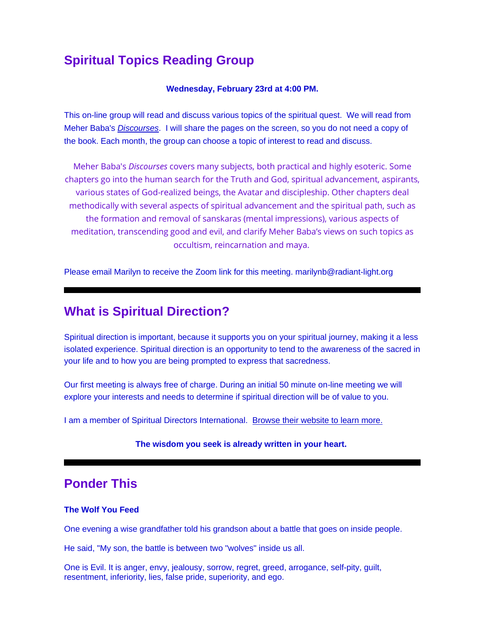## **Spiritual Topics Reading Group**

#### **Wednesday, February 23rd at 4:00 PM.**

This on-line group will read and discuss various topics of the spiritual quest. We will read from Meher Baba's *[Discourses](https://u18544456.ct.sendgrid.net/ls/click?upn=R-2Bl7NGDLiuME3v4KUDXT9tVzm1-2BNI-2BS3OrYkiYlRu7C2nw-2FGuui8nyc81QLa6BAYAHlm_FiQrYGg1YZElR924caalGEP3AHGeF79ulf5jxC9Fbcd8IfoR4p2-2FW0xZvJaX6Y3z75H0Yw3uGmHJTH3azVPJ5HTXrZ-2Ft5OVM5Vv31JFvUf3sl-2Bt2VvZL3mo9-2FDK3jGCp6PbApHwS-2FRpaDkd0w-2B-2BXtjWwXlxeF1Kh5UytJP9aru2REjOENIet8i786nuYjdsYx1r17WoNN438x7UzRaHSA-2FplCwNhlGjyIbKkF4SJa-2BfCYV-2BkYGLkRZSzPLZRezG-2F7PgqeJgw0p7xFqrXxhRI3RYni6Bh-2FdSYfN-2Fc-2BO9bSo0O8T00hysBVDIDJO-2BBl2dZpGHzeEeoG9o5-2BFZF-2FeVDvWyClLNzqIs6WB6H-2BxtxFM0Oqsoq3E2r6H-2BvLev9w9CfWLc6FExNFYNoUxctrkB5oYa2gV0CVmpcawLBDtQXr2lgprC1LD5r3EDS7JSvRlYAGst3NzfSKvIWZWLB5xr6Bas-2BQLGzq0-2FpubiFqvaSRXY3W0MHGnRWxtPievYO4QRViKPuhRfU-2Bj36h7MGaszJecXARHY6f-2B3nOB1UEEqUJXboArwHHDgANCMV9bT5Mm6JFhDcgzCmJ3KNC3XBq7a2-2FVqwGfeQoVpSR-2BZtOYRFI6O3eb0BkaTktxk3STg-2FniMhvJCT3ZgdAxtOJFuHVKoHMLGgiDKOdRc5rgPXVDCjzRK7GXrNFZszNYkUcelcDH6kBtFt3f4Usyg0dE-2Bt6J-2Fr-2BU2ZU70VR-2FyoyurhtBB3c6Je5AeVyEn-2BuVgx59gxu5UAwTXSsmO7nfpToZaI7R9bBXDpNHV1au16R8j1F3iek3jdl-2BCrSJd3888h1TVs8sCKZsyaN5zNaN896IwMr-2FW44ajULS98coG4XhwL6IBpxrE-3D)*. I will share the pages on the screen, so you do not need a copy of the book. Each month, the group can choose a topic of interest to read and discuss.

Meher Baba's *Discourses* covers many subjects, both practical and highly esoteric. Some chapters go into the human search for the Truth and God, spiritual advancement, aspirants, various states of God-realized beings, the Avatar and discipleship. Other chapters deal methodically with several aspects of spiritual advancement and the spiritual path, such as the formation and removal of sanskaras (mental impressions), various aspects of meditation, transcending good and evil, and clarify Meher Baba's views on such topics as occultism, reincarnation and maya.

Please email Marilyn to receive the Zoom link for this meeting. marilynb@radiant-light.org

### **What is Spiritual Direction?**

Spiritual direction is important, because it supports you on your spiritual journey, making it a less isolated experience. Spiritual direction is an opportunity to tend to the awareness of the sacred in your life and to how you are being prompted to express that sacredness.

Our first meeting is always free of charge. During an initial 50 minute on-line meeting we will explore your interests and needs to determine if spiritual direction will be of value to you.

I am a member of Spiritual Directors International. [Browse their website to learn more.](https://u18544456.ct.sendgrid.net/ls/click?upn=R-2Bl7NGDLiuME3v4KUDXT9oAIKZWicSugr-2FmAe7E6UeSxknCCm1v1rPnSsV9v46t1cZB4PoUjvfbzJ9-2FO0cqRUsllaWprydQwr4X9HHJUr7Hukpf2H9bF-2FwYs41GTjhHRsvE7_FiQrYGg1YZElR924caalGEP3AHGeF79ulf5jxC9Fbcd8IfoR4p2-2FW0xZvJaX6Y3z75H0Yw3uGmHJTH3azVPJ5HTXrZ-2Ft5OVM5Vv31JFvUf3sl-2Bt2VvZL3mo9-2FDK3jGCp6PbApHwS-2FRpaDkd0w-2B-2BXtjWwXlxeF1Kh5UytJP9aru2REjOENIet8i786nuYjdsYx1r17WoNN438x7UzRaHSA-2FplCwNhlGjyIbKkF4SJa-2BfCYV-2BkYGLkRZSzPLZRezG-2F7PgqeJgw0p7xFqrXxhRI3RYni6Bh-2FdSYfN-2Fc-2BO9bSo0O8T00hysBVDIDJO-2BBl2dZpGHzeEeoG9o5-2BFZF-2FeVDvWyClLNzqIs6WB6H-2BxtxFM0Oqsoq3E2r6H-2BvLev9w9CfWLc6FExNFYNoUxctrkB5oYa2gV0CVmpcawLBDtQXr2lgprC1LD5r3EDS7JSvRlYAGst3NzfSKvIWZWLB5xr6Bas-2BQLGzq0-2FpubiFqvaSRXY3W0MHGnRWxtPievYO4QRViKPuhRfU-2Bj36h7MGaszJecXARHY6f-2B3nOB1UEEqUJXboArwHHDgANCMV9bT5Mm6JFhDcgzCmJ3KNC3XBq7a2-2FVqwGfeQoVpSR-2BZtOYRFI6O3eb0BkaTktxk3STg-2FniMhvJCT3ZgdAxtOJFuHVKoHMLGgiDKOdRc5rgPXVDCjzRK7GXrNFZszNYkUcelcDH6kBtFt3f4Usyg0dE-2Bt6J-2Fr-2BRAJ6qwp0emizYy3QIlOwUgIEqHKvUgd8l9oXu0fI7WqhRhXV8AcJCzv62zON8DnNSiyxJ4EKhg9UW6-2BGCBGBywzXHPo89PlgRRX8kDalRePqk6Lrbzw642tDrYn4YsWPuJendZorIRCUnS4cAfdzrM-3D)

#### **The wisdom you seek is already written in your heart.**

# **Ponder This**

#### **The Wolf You Feed**

One evening a wise grandfather told his grandson about a battle that goes on inside people.

He said, "My son, the battle is between two "wolves" inside us all.

One is Evil. It is anger, envy, jealousy, sorrow, regret, greed, arrogance, self-pity, guilt, resentment, inferiority, lies, false pride, superiority, and ego.